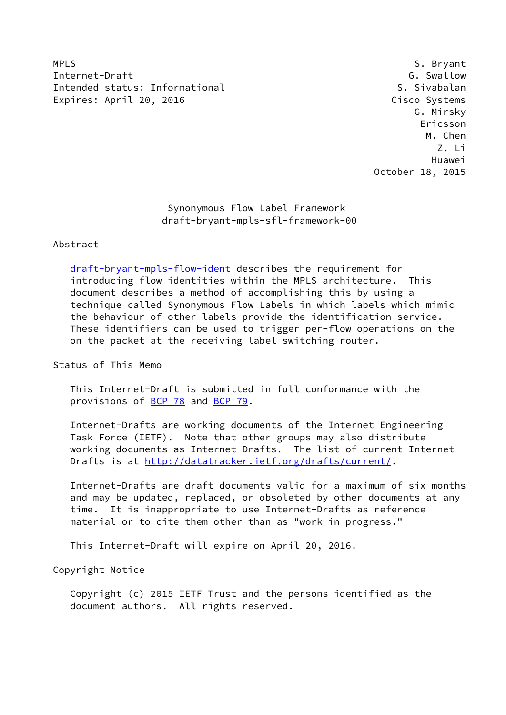MPLS S. Bryant Internet-Draft G. Swallow Intended status: Informational S. Sivabalan Expires: April 20, 2016 Cisco Systems

 G. Mirsky Ericsson M. Chen Z. Li Huawei October 18, 2015

> Synonymous Flow Label Framework draft-bryant-mpls-sfl-framework-00

## Abstract

 [draft-bryant-mpls-flow-ident](https://datatracker.ietf.org/doc/pdf/draft-bryant-mpls-flow-ident) describes the requirement for introducing flow identities within the MPLS architecture. This document describes a method of accomplishing this by using a technique called Synonymous Flow Labels in which labels which mimic the behaviour of other labels provide the identification service. These identifiers can be used to trigger per-flow operations on the on the packet at the receiving label switching router.

Status of This Memo

 This Internet-Draft is submitted in full conformance with the provisions of [BCP 78](https://datatracker.ietf.org/doc/pdf/bcp78) and [BCP 79](https://datatracker.ietf.org/doc/pdf/bcp79).

 Internet-Drafts are working documents of the Internet Engineering Task Force (IETF). Note that other groups may also distribute working documents as Internet-Drafts. The list of current Internet Drafts is at<http://datatracker.ietf.org/drafts/current/>.

 Internet-Drafts are draft documents valid for a maximum of six months and may be updated, replaced, or obsoleted by other documents at any time. It is inappropriate to use Internet-Drafts as reference material or to cite them other than as "work in progress."

This Internet-Draft will expire on April 20, 2016.

Copyright Notice

 Copyright (c) 2015 IETF Trust and the persons identified as the document authors. All rights reserved.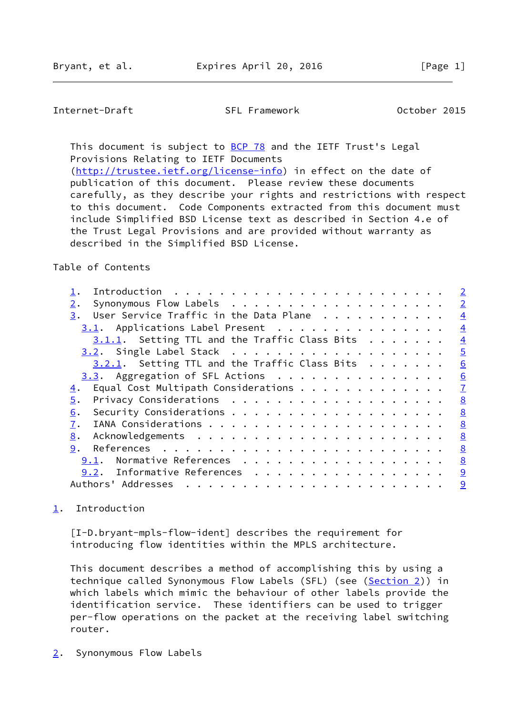# <span id="page-1-1"></span>Internet-Draft SFL Framework October 2015

This document is subject to [BCP 78](https://datatracker.ietf.org/doc/pdf/bcp78) and the IETF Trust's Legal Provisions Relating to IETF Documents [\(http://trustee.ietf.org/license-info](http://trustee.ietf.org/license-info)) in effect on the date of

 publication of this document. Please review these documents carefully, as they describe your rights and restrictions with respect to this document. Code Components extracted from this document must include Simplified BSD License text as described in Section 4.e of the Trust Legal Provisions and are provided without warranty as described in the Simplified BSD License.

#### Table of Contents

|                                                  | $\overline{2}$ |
|--------------------------------------------------|----------------|
| 2.                                               | $\overline{2}$ |
| User Service Traffic in the Data Plane<br>3.     | $\overline{4}$ |
| 3.1. Applications Label Present                  | $\overline{4}$ |
| $3.1.1.$ Setting TTL and the Traffic Class Bits  | $\overline{4}$ |
|                                                  | $\overline{5}$ |
| $3.2.1$ . Setting TTL and the Traffic Class Bits | 6              |
| $3.3.$ Aggregation of SFL Actions                | 6              |
| Equal Cost Multipath Considerations<br>4.        | $\overline{1}$ |
| 5.                                               | 8              |
| 6.                                               | 8              |
| 7.                                               | 8              |
| 8.                                               | 8              |
| 9.                                               | 8              |
| Normative References<br>9.1.                     | 8              |
| Informative References<br>9.2.                   | 9              |
| Authors' Addresses                               | 9              |

## <span id="page-1-0"></span>[1](#page-1-0). Introduction

 [I-D.bryant-mpls-flow-ident] describes the requirement for introducing flow identities within the MPLS architecture.

 This document describes a method of accomplishing this by using a technique called Synonymous Flow Labels (SFL) (see ([Section 2\)](#page-1-2)) in which labels which mimic the behaviour of other labels provide the identification service. These identifiers can be used to trigger per-flow operations on the packet at the receiving label switching router.

<span id="page-1-2"></span>[2](#page-1-2). Synonymous Flow Labels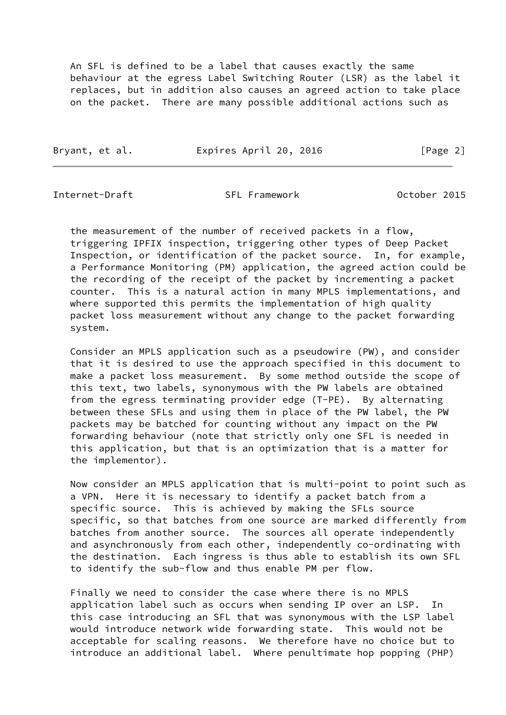An SFL is defined to be a label that causes exactly the same behaviour at the egress Label Switching Router (LSR) as the label it replaces, but in addition also causes an agreed action to take place on the packet. There are many possible additional actions such as

| Bryant, et al. | Expires April 20, 2016 | [Page 2] |
|----------------|------------------------|----------|
|                |                        |          |

Internet-Draft SFL Framework October 2015

 the measurement of the number of received packets in a flow, triggering IPFIX inspection, triggering other types of Deep Packet Inspection, or identification of the packet source. In, for example, a Performance Monitoring (PM) application, the agreed action could be the recording of the receipt of the packet by incrementing a packet counter. This is a natural action in many MPLS implementations, and where supported this permits the implementation of high quality packet loss measurement without any change to the packet forwarding system.

 Consider an MPLS application such as a pseudowire (PW), and consider that it is desired to use the approach specified in this document to make a packet loss measurement. By some method outside the scope of this text, two labels, synonymous with the PW labels are obtained from the egress terminating provider edge (T-PE). By alternating between these SFLs and using them in place of the PW label, the PW packets may be batched for counting without any impact on the PW forwarding behaviour (note that strictly only one SFL is needed in this application, but that is an optimization that is a matter for the implementor).

 Now consider an MPLS application that is multi-point to point such as a VPN. Here it is necessary to identify a packet batch from a specific source. This is achieved by making the SFLs source specific, so that batches from one source are marked differently from batches from another source. The sources all operate independently and asynchronously from each other, independently co-ordinating with the destination. Each ingress is thus able to establish its own SFL to identify the sub-flow and thus enable PM per flow.

 Finally we need to consider the case where there is no MPLS application label such as occurs when sending IP over an LSP. In this case introducing an SFL that was synonymous with the LSP label would introduce network wide forwarding state. This would not be acceptable for scaling reasons. We therefore have no choice but to introduce an additional label. Where penultimate hop popping (PHP)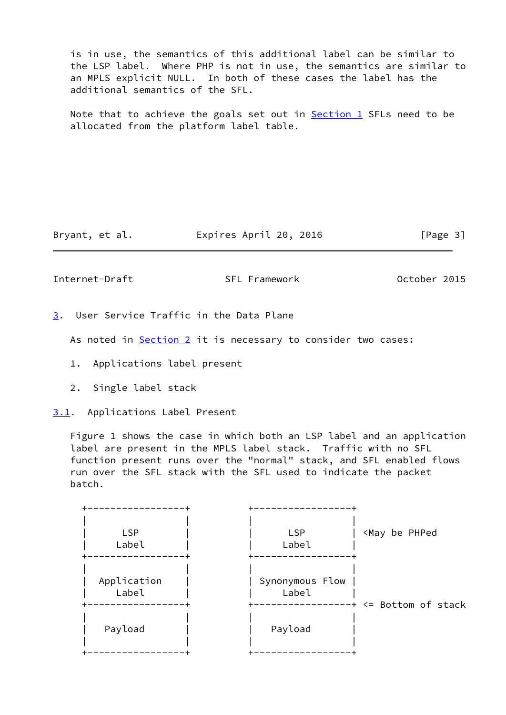is in use, the semantics of this additional label can be similar to the LSP label. Where PHP is not in use, the semantics are similar to an MPLS explicit NULL. In both of these cases the label has the additional semantics of the SFL.

Note that to achieve the goals set out in  $Section 1$  SFLs need to be allocated from the platform label table.

Bryant, et al. **Expires April 20, 2016** [Page 3]

<span id="page-3-1"></span>Internet-Draft SFL Framework October 2015

<span id="page-3-0"></span>[3](#page-3-0). User Service Traffic in the Data Plane

As noted in [Section 2](#page-1-2) it is necessary to consider two cases:

- 1. Applications label present
- 2. Single label stack

<span id="page-3-2"></span>[3.1](#page-3-2). Applications Label Present

 Figure 1 shows the case in which both an LSP label and an application label are present in the MPLS label stack. Traffic with no SFL function present runs over the "normal" stack, and SFL enabled flows run over the SFL stack with the SFL used to indicate the packet batch.

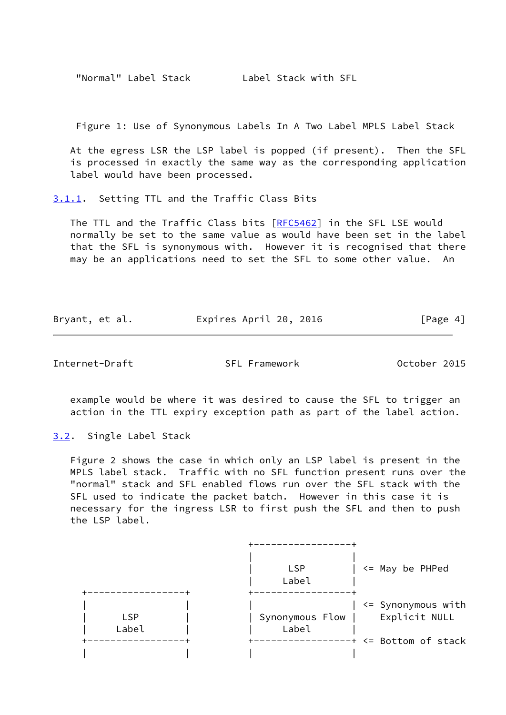"Normal" Label Stack Label Stack with SFL

Figure 1: Use of Synonymous Labels In A Two Label MPLS Label Stack

 At the egress LSR the LSP label is popped (if present). Then the SFL is processed in exactly the same way as the corresponding application label would have been processed.

<span id="page-4-0"></span>[3.1.1](#page-4-0). Setting TTL and the Traffic Class Bits

The TTL and the Traffic Class bits [[RFC5462\]](https://datatracker.ietf.org/doc/pdf/rfc5462) in the SFL LSE would normally be set to the same value as would have been set in the label that the SFL is synonymous with. However it is recognised that there may be an applications need to set the SFL to some other value. An

Bryant, et al. **Expires April 20, 2016** [Page 4]

<span id="page-4-2"></span>Internet-Draft SFL Framework October 2015

 example would be where it was desired to cause the SFL to trigger an action in the TTL expiry exception path as part of the label action.

<span id="page-4-1"></span>[3.2](#page-4-1). Single Label Stack

 Figure 2 shows the case in which only an LSP label is present in the MPLS label stack. Traffic with no SFL function present runs over the "normal" stack and SFL enabled flows run over the SFL stack with the SFL used to indicate the packet batch. However in this case it is necessary for the ingress LSR to first push the SFL and then to push the LSP label.

|                     | <b>LSP</b><br>Label        | <= May be PHPed                                                     |
|---------------------|----------------------------|---------------------------------------------------------------------|
| <b>LSP</b><br>Label | Synonymous Flow  <br>Label | <= Synonymous with<br>Explicit NULL<br>$---++ \leq$ Bottom of stack |
|                     |                            |                                                                     |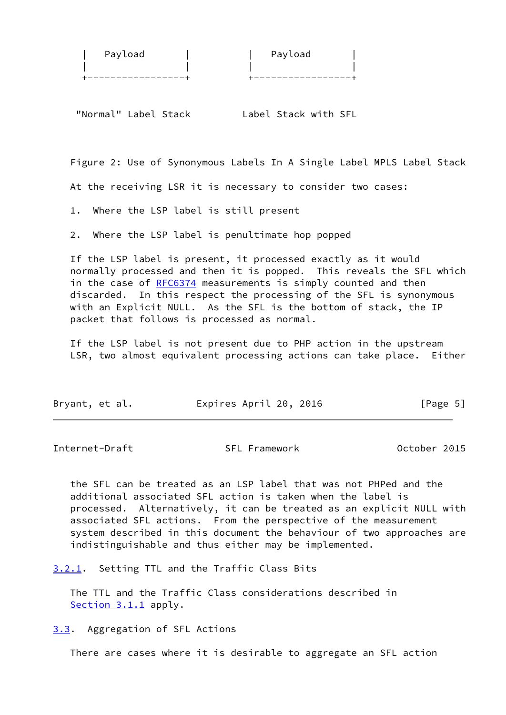| Payload | Payload |
|---------|---------|
|         |         |
|         |         |

"Normal" Label Stack Label Stack with SFL

Figure 2: Use of Synonymous Labels In A Single Label MPLS Label Stack

At the receiving LSR it is necessary to consider two cases:

1. Where the LSP label is still present

2. Where the LSP label is penultimate hop popped

 If the LSP label is present, it processed exactly as it would normally processed and then it is popped. This reveals the SFL which in the case of [RFC6374](https://datatracker.ietf.org/doc/pdf/rfc6374) measurements is simply counted and then discarded. In this respect the processing of the SFL is synonymous with an Explicit NULL. As the SFL is the bottom of stack, the IP packet that follows is processed as normal.

 If the LSP label is not present due to PHP action in the upstream LSR, two almost equivalent processing actions can take place. Either

| Bryant, et al. | Expires April 20, 2016 | [Page 5] |
|----------------|------------------------|----------|
|----------------|------------------------|----------|

<span id="page-5-1"></span>Internet-Draft SFL Framework October 2015

 the SFL can be treated as an LSP label that was not PHPed and the additional associated SFL action is taken when the label is processed. Alternatively, it can be treated as an explicit NULL with associated SFL actions. From the perspective of the measurement system described in this document the behaviour of two approaches are indistinguishable and thus either may be implemented.

<span id="page-5-0"></span>[3.2.1](#page-5-0). Setting TTL and the Traffic Class Bits

 The TTL and the Traffic Class considerations described in [Section 3.1.1](#page-4-0) apply.

<span id="page-5-2"></span>[3.3](#page-5-2). Aggregation of SFL Actions

There are cases where it is desirable to aggregate an SFL action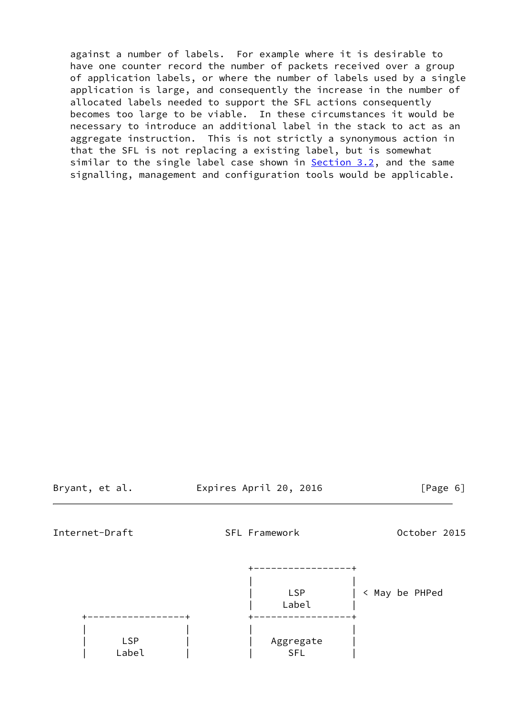against a number of labels. For example where it is desirable to have one counter record the number of packets received over a group of application labels, or where the number of labels used by a single application is large, and consequently the increase in the number of allocated labels needed to support the SFL actions consequently becomes too large to be viable. In these circumstances it would be necessary to introduce an additional label in the stack to act as an aggregate instruction. This is not strictly a synonymous action in that the SFL is not replacing a existing label, but is somewhat similar to the single label case shown in **Section 3.2**, and the same signalling, management and configuration tools would be applicable.

Bryant, et al. **Expires April 20, 2016** [Page 6]

<span id="page-6-0"></span>Internet-Draft SFL Framework October 2015

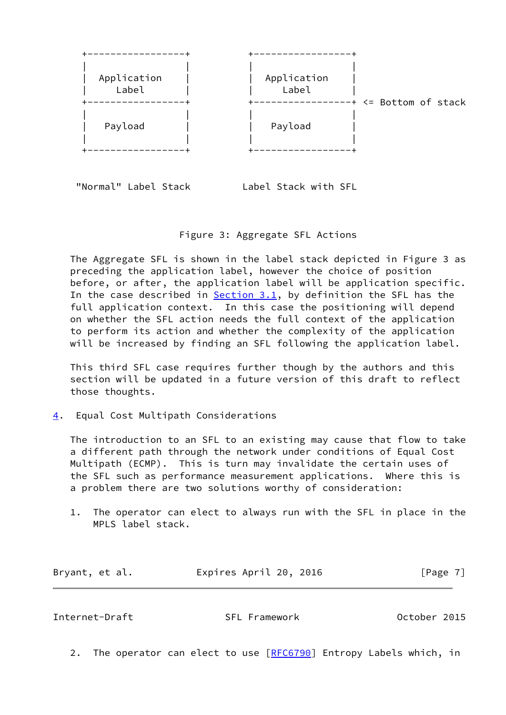

"Normal" Label Stack Label Stack with SFL

Figure 3: Aggregate SFL Actions

 The Aggregate SFL is shown in the label stack depicted in Figure 3 as preceding the application label, however the choice of position before, or after, the application label will be application specific. In the case described in  $Section 3.1$ , by definition the SFL has the full application context. In this case the positioning will depend on whether the SFL action needs the full context of the application to perform its action and whether the complexity of the application will be increased by finding an SFL following the application label.

 This third SFL case requires further though by the authors and this section will be updated in a future version of this draft to reflect those thoughts.

<span id="page-7-0"></span>[4](#page-7-0). Equal Cost Multipath Considerations

 The introduction to an SFL to an existing may cause that flow to take a different path through the network under conditions of Equal Cost Multipath (ECMP). This is turn may invalidate the certain uses of the SFL such as performance measurement applications. Where this is a problem there are two solutions worthy of consideration:

 1. The operator can elect to always run with the SFL in place in the MPLS label stack.

| Bryant, et al. | Expires April 20, 2016 |  | [Page 7] |
|----------------|------------------------|--|----------|
|----------------|------------------------|--|----------|

<span id="page-7-1"></span>Internet-Draft SFL Framework October 2015

2. The operator can elect to use [[RFC6790](https://datatracker.ietf.org/doc/pdf/rfc6790)] Entropy Labels which, in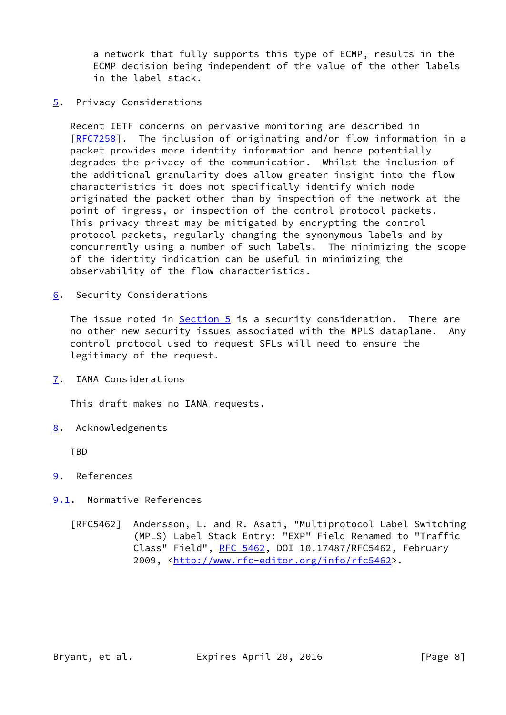a network that fully supports this type of ECMP, results in the ECMP decision being independent of the value of the other labels in the label stack.

## <span id="page-8-0"></span>[5](#page-8-0). Privacy Considerations

 Recent IETF concerns on pervasive monitoring are described in [\[RFC7258](https://datatracker.ietf.org/doc/pdf/rfc7258)]. The inclusion of originating and/or flow information in a packet provides more identity information and hence potentially degrades the privacy of the communication. Whilst the inclusion of the additional granularity does allow greater insight into the flow characteristics it does not specifically identify which node originated the packet other than by inspection of the network at the point of ingress, or inspection of the control protocol packets. This privacy threat may be mitigated by encrypting the control protocol packets, regularly changing the synonymous labels and by concurrently using a number of such labels. The minimizing the scope of the identity indication can be useful in minimizing the observability of the flow characteristics.

<span id="page-8-1"></span>[6](#page-8-1). Security Considerations

The issue noted in **Section 5** is a security consideration. There are no other new security issues associated with the MPLS dataplane. Any control protocol used to request SFLs will need to ensure the legitimacy of the request.

<span id="page-8-2"></span>[7](#page-8-2). IANA Considerations

This draft makes no IANA requests.

<span id="page-8-3"></span>[8](#page-8-3). Acknowledgements

TBD

- <span id="page-8-4"></span>[9](#page-8-4). References
- <span id="page-8-5"></span>[9.1](#page-8-5). Normative References
	- [RFC5462] Andersson, L. and R. Asati, "Multiprotocol Label Switching (MPLS) Label Stack Entry: "EXP" Field Renamed to "Traffic Class" Field", [RFC 5462](https://datatracker.ietf.org/doc/pdf/rfc5462), DOI 10.17487/RFC5462, February 2009, [<http://www.rfc-editor.org/info/rfc5462](http://www.rfc-editor.org/info/rfc5462)>.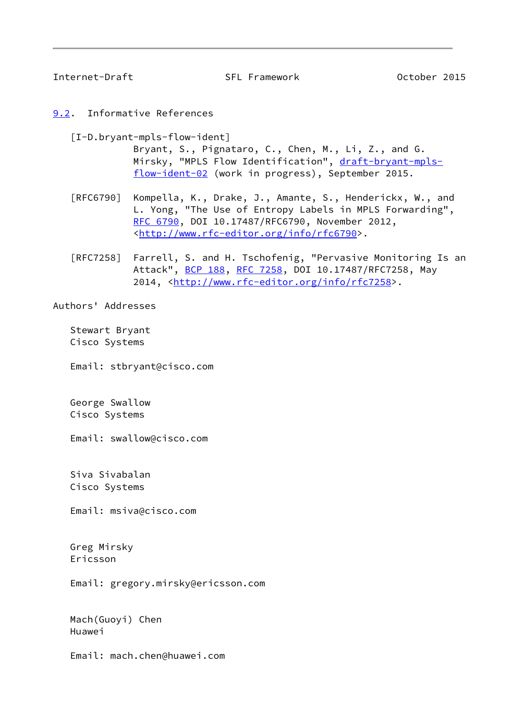<span id="page-9-1"></span>Internet-Draft SFL Framework October 2015

<span id="page-9-0"></span>[9.2](#page-9-0). Informative References

[I-D.bryant-mpls-flow-ident]

 Bryant, S., Pignataro, C., Chen, M., Li, Z., and G. Mirsky, "MPLS Flow Identification", [draft-bryant-mpls](https://datatracker.ietf.org/doc/pdf/draft-bryant-mpls-flow-ident-02) [flow-ident-02](https://datatracker.ietf.org/doc/pdf/draft-bryant-mpls-flow-ident-02) (work in progress), September 2015.

- [RFC6790] Kompella, K., Drake, J., Amante, S., Henderickx, W., and L. Yong, "The Use of Entropy Labels in MPLS Forwarding", [RFC 6790,](https://datatracker.ietf.org/doc/pdf/rfc6790) DOI 10.17487/RFC6790, November 2012, <<http://www.rfc-editor.org/info/rfc6790>>.
- [RFC7258] Farrell, S. and H. Tschofenig, "Pervasive Monitoring Is an Attack", [BCP 188,](https://datatracker.ietf.org/doc/pdf/bcp188) [RFC 7258](https://datatracker.ietf.org/doc/pdf/rfc7258), DOI 10.17487/RFC7258, May 2014, [<http://www.rfc-editor.org/info/rfc7258](http://www.rfc-editor.org/info/rfc7258)>.

Authors' Addresses

 Stewart Bryant Cisco Systems

Email: stbryant@cisco.com

 George Swallow Cisco Systems

Email: swallow@cisco.com

 Siva Sivabalan Cisco Systems

Email: msiva@cisco.com

 Greg Mirsky Ericsson

Email: gregory.mirsky@ericsson.com

 Mach(Guoyi) Chen Huawei

Email: mach.chen@huawei.com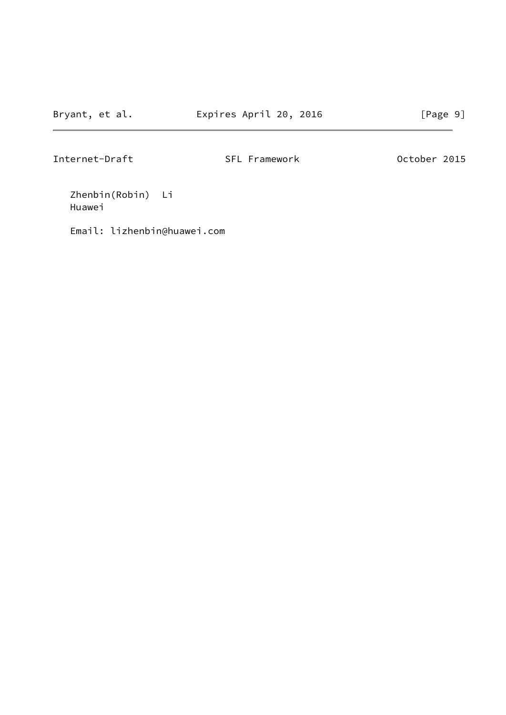Internet-Draft SFL Framework October 2015

 Zhenbin(Robin) Li Huawei

Email: lizhenbin@huawei.com